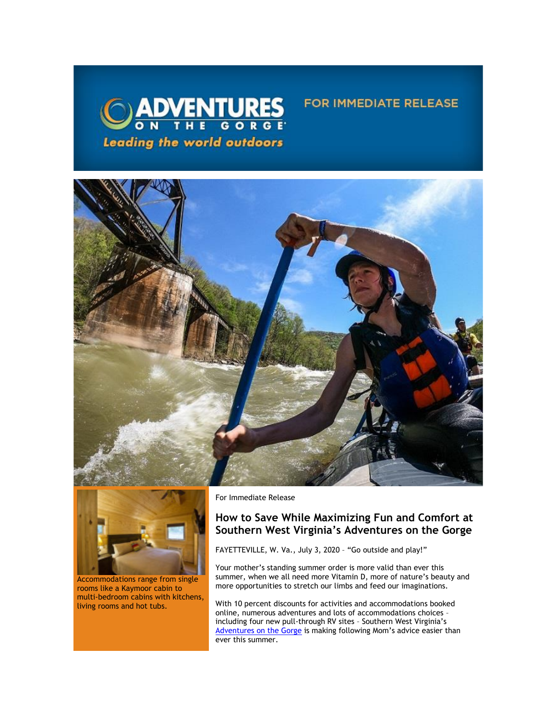

## **FOR IMMEDIATE RELEASE**





Accommodations range from single rooms like a Kaymoor cabin to multi-bedroom cabins with kitchens, living rooms and hot tubs.

For Immediate Release

## **How to Save While Maximizing Fun and Comfort at Southern West Virginia's Adventures on the Gorge**

FAYETTEVILLE, W. Va., July 3, 2020 – "Go outside and play!"

Your mother's standing summer order is more valid than ever this summer, when we all need more Vitamin D, more of nature's beauty and more opportunities to stretch our limbs and feed our imaginations.

With 10 percent discounts for activities and accommodations booked online, numerous adventures and lots of accommodations choices – including four new pull-through RV sites – Southern West Virginia's [Adventures on the Gorge](https://click.icptrack.com/icp/relay.php?r=13440961&msgid=456782&act=3SPQ&c=1378153&destination=http%3A%2F%2Fwww.adventuresonthegorge.com%2F&cf=13608&v=5a6d29c5bd89500c6946838c97b8849561ebbd48dbb2fdae9fe0068cb3f8e60e) is making following Mom's advice easier than ever this summer.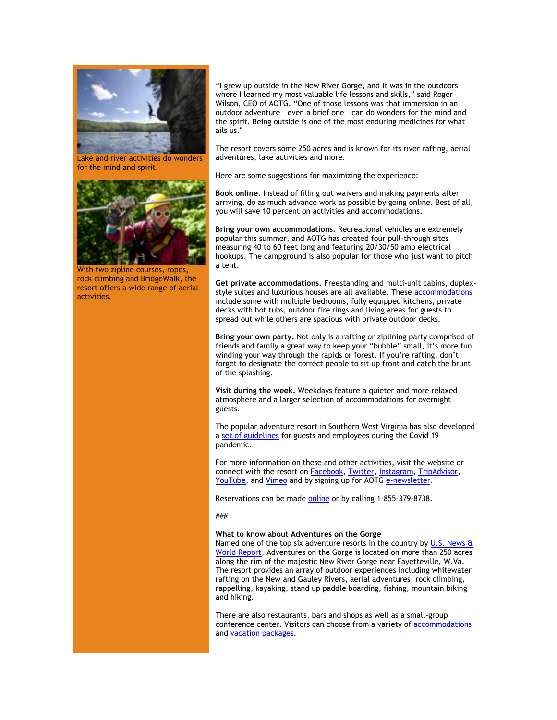

Lake and river activities do wonders for the mind and spirit.



With two zipline courses, ropes, rock climbing and BridgeWalk, the resort offers a wide range of aerial activities.

"I grew up outside in the New River Gorge, and it was in the outdoors where I learned my most valuable life lessons and skills," said Roger Wilson, CEO of AOTG. "One of those lessons was that immersion in an outdoor adventure – even a brief one – can do wonders for the mind and the spirit. Being outside is one of the most enduring medicines for what ails us."

The resort covers some 250 acres and is known for its river rafting, aerial adventures, lake activities and more.

Here are some suggestions for maximizing the experience:

**Book online.** Instead of filling out waivers and making payments after arriving, do as much advance work as possible by going online. Best of all, you will save 10 percent on activities and accommodations.

**Bring your own accommodations.** Recreational vehicles are extremely popular this summer, and AOTG has created four pull-through sites measuring 40 to 60 feet long and featuring 20/30/50 amp electrical hookups. The campground is also popular for those who just want to pitch a tent.

**Get private accommodations.** Freestanding and multi-unit cabins, duplexstyle suites and luxurious houses are all available. These [accommodations](https://click.icptrack.com/icp/relay.php?r=13440961&msgid=456782&act=3SPQ&c=1378153&destination=https%3A%2F%2Fadventuresonthegorge.com%2Flodging%2F&cf=13608&v=a0a1ec07ee637c78242d3333295573a8e337130c936224b8e1d32f73fd9e88eb) include some with multiple bedrooms, fully equipped kitchens, private decks with hot tubs, outdoor fire rings and living areas for guests to spread out while others are spacious with private outdoor decks.

**Bring your own party.** Not only is a rafting or ziplining party comprised of friends and family a great way to keep your "bubble" small, it's more fun winding your way through the rapids or forest. If you're rafting, don't forget to designate the correct people to sit up front and catch the brunt of the splashing.

**Visit during the week.** Weekdays feature a quieter and more relaxed atmosphere and a larger selection of accommodations for overnight guests.

The popular adventure resort in Southern West Virginia has also developed a [set of guidelines](https://click.icptrack.com/icp/relay.php?r=13440961&msgid=456782&act=3SPQ&c=1378153&destination=https%3A%2F%2Fadventuresonthegorge.com%2Fwebinar%2F&cf=13608&v=0e256f2f09d819a61663a3ae02d7066dc4ae97c0dedcefbb946cbc909829e0ff) for guests and employees during the Covid 19 pandemic.

For more information on these and other activities, visit the website or connect with the resort on **Facebook**, **Twitter**, **Instagram**, **TripAdvisor**, [YouTube,](https://click.icptrack.com/icp/relay.php?r=13440961&msgid=456782&act=3SPQ&c=1378153&destination=https%3A%2F%2Fwww.youtube.com%2Fuser%2FAdventuresOnTheGorge&cf=13608&v=7b71b3e994e129bfdca87c6523149b64faacb62e001d98eb26897d7c7236e8cc) and [Vimeo](https://click.icptrack.com/icp/relay.php?r=13440961&msgid=456782&act=3SPQ&c=1378153&destination=https%3A%2F%2Fvimeo.com%2Fuser4260102&cf=13608&v=4ff82f41c6c552c9da3c61684889fad58e153a690bdb0b74761adab86ca752a0) and by signing up for AOTG [e-newsletter.](https://click.icptrack.com/icp/relay.php?r=13440961&msgid=456782&act=3SPQ&c=1378153&destination=https%3A%2F%2Fadventuresonthegorge.com%2F&cf=13608&v=a83cd0882452dd5ad1794082623f8c176d7586c5f6015a054a1c7b875f219550)

Reservations can be made [online o](https://click.icptrack.com/icp/relay.php?r=13440961&msgid=456782&act=3SPQ&c=1378153&destination=https%3A%2F%2Fadventuresonthegorge.com%2Fadventures%2Fwhitewater-rafting%2Fsummer-gauley-loop-overnight%2F&cf=13608&v=4850d45587df31612fc20496dd2cce90cea3787d6dbc23d49d242d845627523b)r by calling 1-855-379-8738.

## ###

## **What to know about Adventures on the Gorge**

Named one of the top six adventure resorts in the country by U.S. News & [World Report,](https://click.icptrack.com/icp/relay.php?r=13440961&msgid=456782&act=3SPQ&c=1378153&destination=http%3A%2F%2Ftravel.usnews.com%2Fgallery%2Famericas-6-top-adventure-resorts&cf=13608&v=764bfdbe430f777c5bcc69b025c1a8805ca5cbb157f8c18454c411b272e07901) Adventures on the Gorge is located on more than 250 acres along the rim of the majestic New River Gorge near Fayetteville, W.Va. The resort provides an array of outdoor experiences including whitewater rafting on the New and Gauley Rivers, aerial adventures, rock climbing, rappelling, kayaking, stand up paddle boarding, fishing, mountain biking and hiking.

There are also restaurants, bars and shops as well as a small-group conference center. Visitors can choose from a variety o[f accommodations](https://click.icptrack.com/icp/relay.php?r=13440961&msgid=456782&act=3SPQ&c=1378153&destination=https%3A%2F%2Fadventuresonthegorge.com%2Flodging%2F&cf=13608&v=a0a1ec07ee637c78242d3333295573a8e337130c936224b8e1d32f73fd9e88eb) and [vacation packages.](https://click.icptrack.com/icp/relay.php?r=13440961&msgid=456782&act=3SPQ&c=1378153&destination=https%3A%2F%2Fadventuresonthegorge.com%2Fpackages%2F&cf=13608&v=8751df1b896b42a43c8f638cff3537e1a0bec91ccd87a43021a073a818c593de)